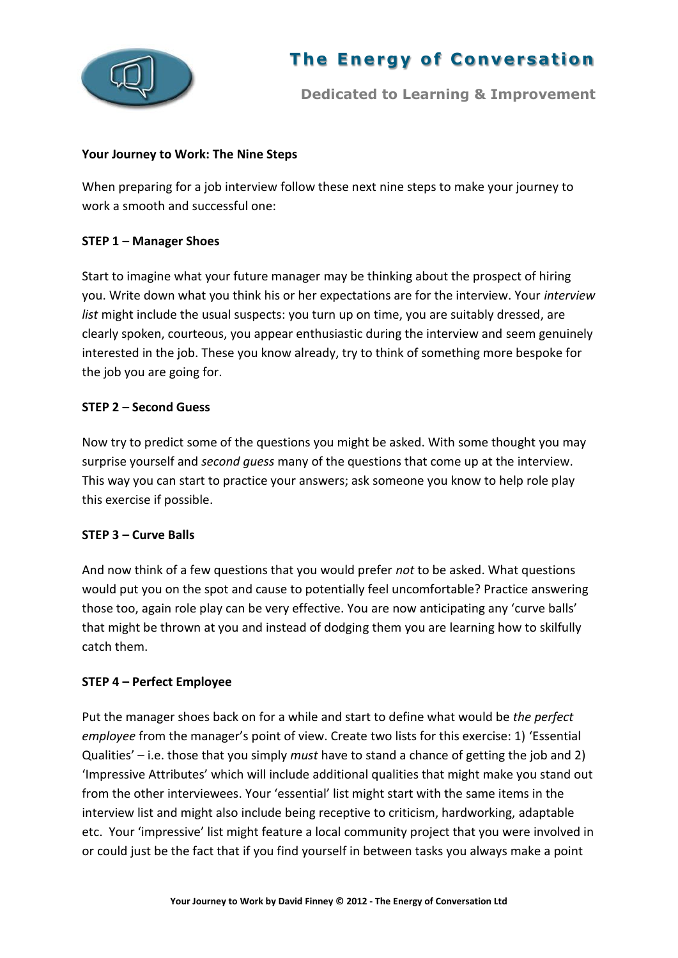

# **The Energy of Conversation**

**Dedicated to Learning & Improvement**

#### **Your Journey to Work: The Nine Steps**

When preparing for a job interview follow these next nine steps to make your journey to work a smooth and successful one:

## **STEP 1 – Manager Shoes**

Start to imagine what your future manager may be thinking about the prospect of hiring you. Write down what you think his or her expectations are for the interview. Your *interview list* might include the usual suspects: you turn up on time, you are suitably dressed, are clearly spoken, courteous, you appear enthusiastic during the interview and seem genuinely interested in the job. These you know already, try to think of something more bespoke for the job you are going for.

### **STEP 2 – Second Guess**

Now try to predict some of the questions you might be asked. With some thought you may surprise yourself and *second guess* many of the questions that come up at the interview. This way you can start to practice your answers; ask someone you know to help role play this exercise if possible.

#### **STEP 3 – Curve Balls**

And now think of a few questions that you would prefer *not* to be asked. What questions would put you on the spot and cause to potentially feel uncomfortable? Practice answering those too, again role play can be very effective. You are now anticipating any 'curve balls' that might be thrown at you and instead of dodging them you are learning how to skilfully catch them.

#### **STEP 4 – Perfect Employee**

Put the manager shoes back on for a while and start to define what would be *the perfect employee* from the manager's point of view. Create two lists for this exercise: 1) 'Essential Qualities' – i.e. those that you simply *must* have to stand a chance of getting the job and 2) 'Impressive Attributes' which will include additional qualities that might make you stand out from the other interviewees. Your 'essential' list might start with the same items in the interview list and might also include being receptive to criticism, hardworking, adaptable etc. Your 'impressive' list might feature a local community project that you were involved in or could just be the fact that if you find yourself in between tasks you always make a point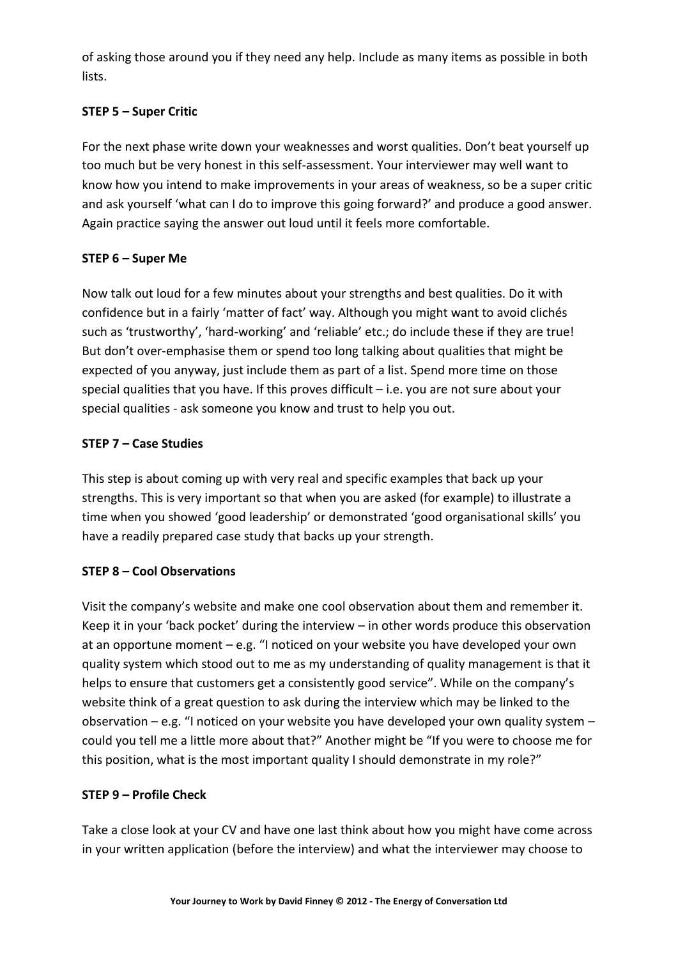of asking those around you if they need any help. Include as many items as possible in both lists.

# **STEP 5 – Super Critic**

For the next phase write down your weaknesses and worst qualities. Don't beat yourself up too much but be very honest in this self-assessment. Your interviewer may well want to know how you intend to make improvements in your areas of weakness, so be a super critic and ask yourself 'what can I do to improve this going forward?' and produce a good answer. Again practice saying the answer out loud until it feels more comfortable.

# **STEP 6 – Super Me**

Now talk out loud for a few minutes about your strengths and best qualities. Do it with confidence but in a fairly 'matter of fact' way. Although you might want to avoid clichés such as 'trustworthy', 'hard-working' and 'reliable' etc.; do include these if they are true! But don't over-emphasise them or spend too long talking about qualities that might be expected of you anyway, just include them as part of a list. Spend more time on those special qualities that you have. If this proves difficult – i.e. you are not sure about your special qualities - ask someone you know and trust to help you out.

# **STEP 7 – Case Studies**

This step is about coming up with very real and specific examples that back up your strengths. This is very important so that when you are asked (for example) to illustrate a time when you showed 'good leadership' or demonstrated 'good organisational skills' you have a readily prepared case study that backs up your strength.

# **STEP 8 – Cool Observations**

Visit the company's website and make one cool observation about them and remember it. Keep it in your 'back pocket' during the interview – in other words produce this observation at an opportune moment – e.g. "I noticed on your website you have developed your own quality system which stood out to me as my understanding of quality management is that it helps to ensure that customers get a consistently good service". While on the company's website think of a great question to ask during the interview which may be linked to the observation – e.g. "I noticed on your website you have developed your own quality system – could you tell me a little more about that?" Another might be "If you were to choose me for this position, what is the most important quality I should demonstrate in my role?"

## **STEP 9 – Profile Check**

Take a close look at your CV and have one last think about how you might have come across in your written application (before the interview) and what the interviewer may choose to